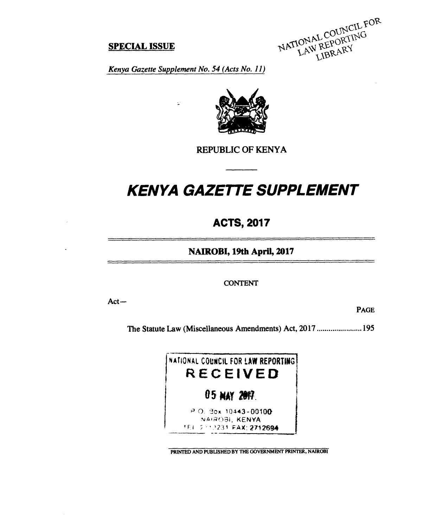# **SPECIAL ISSUE**

NATIONAL COUNCIL FOR

*Kenya Gazette Supplement No. 54 (Acts No. 11)* 

 $\epsilon$ 



# **REPUBLIC OF KENYA**

# *KENYA GAZETTE SUPPLEMENT*

# **ACTS, 2017**

**NAIROBI, 19th April, 2017** 

**CONTENT** 

**Act—** 

**PAGE** 

The Statute Law (Miscellaneous Amendments) Act, 2017 ......................195



**PRINTED AND PUBLISHED BY THE GOVERNMENT PRINTER, NAIROBI**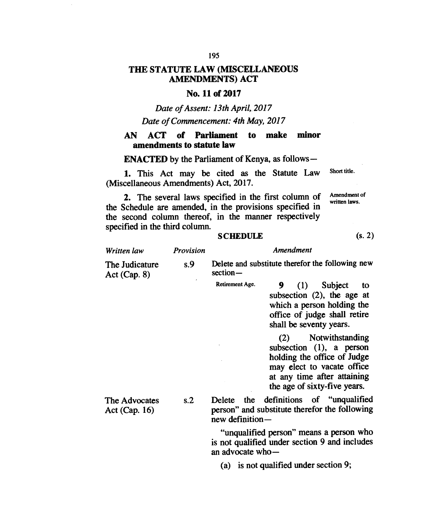#### **195**

### **THE STATUTE LAW (MISCELLANEOUS AMENDMENTS) ACT**

#### **No. 11 of 2017**

*Date of Assent: 13th April, 2017* 

*Date of Commencement: 4th May, 2017* 

#### **AN ACT of Parliament to make minor amendments to statute law**

**ENACTED** by the Parliament of Kenya, as follows-

1. This Act may be cited as the Statute Law (Miscellaneous Amendments) Act, 2017. Short title.

2. The several laws specified in the first column of the Schedule are amended, in the provisions specified in the second column thereof, in the manner respectively specified in the third column.

#### **SCHEDULE (s. 2)**

*Written law Provision Amendment*  The Judicature s.9 Delete and substitute therefor the following new  $\Delta ct$  (Can  $\beta$ ) section-Act (Cap. 8) Retirement Age. 9 (1) Subject to subsection (2), the age at which a person holding the office of judge shall retire shall be seventy years. (2) Notwithstanding subsection (1), a person holding the office of Judge may elect to vacate office at any time after attaining the age of sixty-five years. The Advocates s.2 Delete the definitions of "unqualified Act (Cap. 16) person" and substitute therefor the following

new definition —

"unqualified person" means a person who is not qualified under section 9 and includes an advocate who—

(a) is not qualified under section 9;

Amendment of written laws.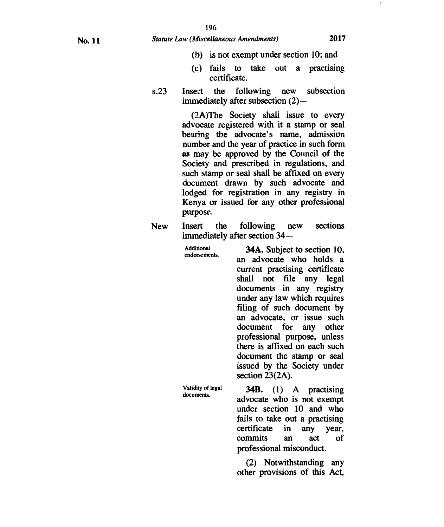- **(b) is not exempt under section 10; and**
- **(c) fails to take out a practising certificate.**
- **s.23 Insert the following new subsection immediately after subsection (2)—**

**(2A)The Society shall issue to every advocate registered with it a stamp or seal bearing the advocate's name, admission number and the year of practice in such form as may be approved by the Council of the Society and prescribed in regulations, and such stamp or seal shall be affixed on every document drawn by such advocate and lodged for registration in any registry in Kenya or issued for any other professional purpose.** 

**New Insert the following new sections immediately after section 34—** 

| <b>Additional</b><br>endorsements. | <b>34A.</b> Subject to section 10,<br>an advocate who holds a<br>current practising certificate<br>shall not file any legal<br>documents in any registry<br>under any law which requires<br>filing of such document by<br>an advocate, or issue such<br>document for any other<br>professional purpose, unless<br>there is affixed on each such<br>document the stamp or seal<br>issued by the Society under<br>section $23(2A)$ . |
|------------------------------------|------------------------------------------------------------------------------------------------------------------------------------------------------------------------------------------------------------------------------------------------------------------------------------------------------------------------------------------------------------------------------------------------------------------------------------|
| Validity of legal                  | <b>34B.</b> (1) A practising                                                                                                                                                                                                                                                                                                                                                                                                       |
| documents.                         | advocate who is not exempt                                                                                                                                                                                                                                                                                                                                                                                                         |

**advocate who is not exempt under section 10 and who fails to take out a practising certificate in any year, commits an act of professional misconduct.** 

**(2) Notwithstanding any other provisions of this Act,**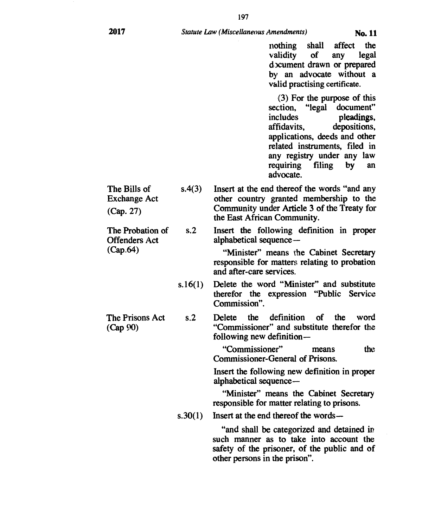**197** 

**nothing shall affect the validity of any legal cbcument drawn or prepared by an advocate without a valid practising certificate.** 

(3) **For the purpose of this section, "legal document" includes pleadings, affidavits, depositions, applications, deeds and other related instruments, filed in any registry under any law requiring filing by an advocate.** 

**The Bills of s.4(3) Insert at the end thereof the words "and any**  Exchange Act **other country granted membership to the (Cap. 27) Community under Article 3 of the Treaty for the East African Community.** 

**The Probation of s.2 Insert the following definition in proper Offenders Act** alphabetical sequence — **(Cap.64) "Minister" means the Cabinet Secretary** 

**responsible for matters relating to probation and after-care services.** 

**s.16(1) Delete the word "Minister" and substitute therefor the expression "Public Service Commission".** 

**The Prisons Act s.2 Delete the definition of the word (Cap 90) "Commissioner" and substitute therefor the following new definition—** 

> **"Commissioner" means the Commissioner-General of Prisons.**

> **Insert the following new definition in proper alphabetical sequence—**

> **"Minister" means the Cabinet Secretary responsible for matter relating to prisons.**

**s.30(1) Insert at the end thereof the words—** 

**"and shall be categorized and detained in such manner as to take into account the safety of the prisoner, of the public and of other persons in the prison".**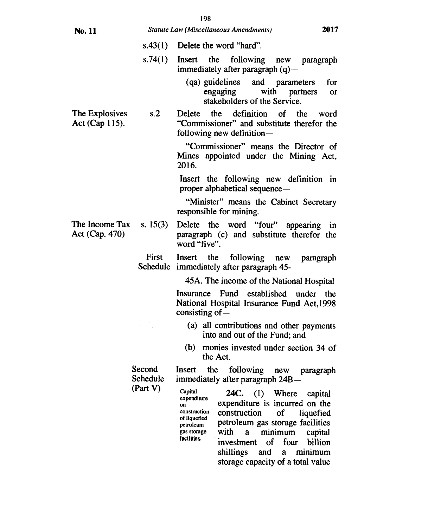|  | ۰.<br>I<br>I<br>۹<br>on a |
|--|---------------------------|
|--|---------------------------|

| No. 11                           |                                | 2017<br>Statute Law (Miscellaneous Amendments)                                                                                                                                                                                                                                                                                                                                                                                  |
|----------------------------------|--------------------------------|---------------------------------------------------------------------------------------------------------------------------------------------------------------------------------------------------------------------------------------------------------------------------------------------------------------------------------------------------------------------------------------------------------------------------------|
|                                  |                                | $s.43(1)$ Delete the word "hard".                                                                                                                                                                                                                                                                                                                                                                                               |
|                                  | s.74(1)                        | Insert the<br>following new paragraph<br>immediately after paragraph (q) —                                                                                                                                                                                                                                                                                                                                                      |
|                                  |                                | (qa) guidelines and parameters<br>for<br>engaging with partners<br>or<br>stakeholders of the Service.                                                                                                                                                                                                                                                                                                                           |
| The Explosives<br>Act (Cap 115). | s.2                            | the<br>definition<br>Delete<br>of the<br>word<br>"Commissioner" and substitute therefor the<br>following new definition—                                                                                                                                                                                                                                                                                                        |
|                                  |                                | "Commissioner" means the Director of<br>Mines appointed under the Mining Act,<br>2016.                                                                                                                                                                                                                                                                                                                                          |
|                                  |                                | Insert the following new definition in<br>proper alphabetical sequence-                                                                                                                                                                                                                                                                                                                                                         |
|                                  |                                | "Minister" means the Cabinet Secretary<br>responsible for mining.                                                                                                                                                                                                                                                                                                                                                               |
| The Income Tax<br>Act (Cap. 470) | s. $15(3)$                     | Delete the word "four" appearing<br>in<br>paragraph (c) and substitute therefor the<br>word "five".                                                                                                                                                                                                                                                                                                                             |
|                                  | First                          | Insert the following new<br>paragraph<br>Schedule immediately after paragraph 45-                                                                                                                                                                                                                                                                                                                                               |
|                                  |                                | 45A. The income of the National Hospital                                                                                                                                                                                                                                                                                                                                                                                        |
|                                  |                                | Insurance Fund established under the<br>National Hospital Insurance Fund Act, 1998<br>consisting of $-$                                                                                                                                                                                                                                                                                                                         |
|                                  |                                | (a) all contributions and other payments<br>into and out of the Fund; and                                                                                                                                                                                                                                                                                                                                                       |
|                                  |                                | (b) monies invested under section 34 of<br>the Act.                                                                                                                                                                                                                                                                                                                                                                             |
|                                  | Second<br>Schedule<br>(Part V) | the<br>Insert<br>following<br>new<br>paragraph<br>immediately after paragraph 24B-                                                                                                                                                                                                                                                                                                                                              |
|                                  |                                | Capital<br><b>24C.</b> (1) Where<br>capital<br>expenditure<br>expenditure is incurred on the<br>on<br>construction<br>construction<br><b>of</b><br>liquefied<br>of liquefied<br>petroleum gas storage facilities<br>petroleum<br>with<br>minimum<br>$\mathbf{a}$<br>gas storage<br>capital<br>facilities.<br>billion<br>$\sigma$<br>four<br>investment<br>and<br>minimum<br>shillings<br>a<br>storage capacity of a total value |
|                                  |                                |                                                                                                                                                                                                                                                                                                                                                                                                                                 |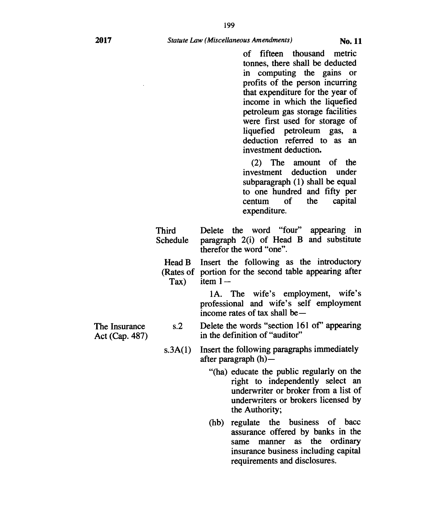199

of fifteen thousand metric tonnes, there shall be deducted in computing the gains or profits of the person incurring that expenditure for the year of income in which the liquefied petroleum gas storage facilities were first used for storage of liquefied petroleum gas, a deduction referred to as an investment deduction.

(2) The amount of the investment deduction under subparagraph (1) shall be equal to one hundred and fifty per centum of the capital expenditure.

| <b>Third</b><br>Schedule | Delete the word "four" appearing in<br>paragraph 2(i) of Head B and substitute<br>therefor the word "one".             |
|--------------------------|------------------------------------------------------------------------------------------------------------------------|
| $\text{Tax)}$            | Head B Insert the following as the introductory<br>(Rates of portion for the second table appearing after<br>item $1-$ |
|                          | 1A. The wife's employment, wife's<br>professional and wife's self employment<br>income rates of tax shall be—          |
| s.2                      | Delete the words "section 161 of" appearing<br>in the definition of "auditor"                                          |

- s.3A(1) Insert the following paragraphs immediately after paragraph (h)—
	- "(ha) educate the public regularly on the right to independently select an underwriter or broker from a list of underwriters or brokers licensed by the Authority;
	- (hb) regulate the business of bacc assurance offered by banks in the same manner as the ordinary insurance business including capital requirements and disclosures.

The Insurance Act (Cap. 487)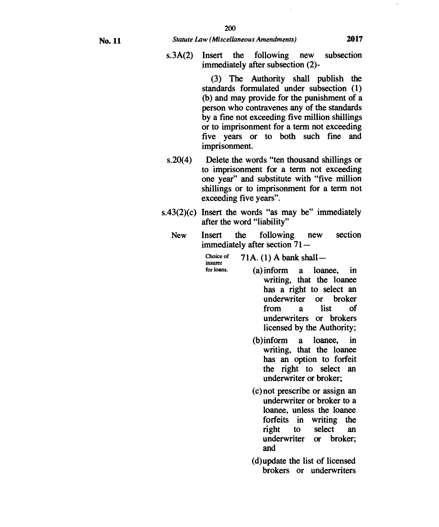**s.3A(2) Insert the following new subsection immediately after subsection (2)-** 

> **(3) The Authority shall publish the standards formulated under subsection (1) (b) and may provide for the punishment of a person who contravenes any of the standards by a fine not exceeding five million shillings or to imprisonment for a term not exceeding five years or to both such fine and imprisonment.**

- **s.20(4) Delete the words "ten thousand shillings or to imprisonment for a term not exceeding one year" and substitute with "five million shillings or to imprisonment for a term not exceeding five years".**
- **s.43(2)(c) Insert the words "as may be" immediately after the word "liability"** 
	- **New Insert the following new section immediately after section 71—**

**Choice of insurer 71A. (1) A bank shall—** 

**for loans.** 

- **(a) inform a loanee, in writing, that the loanee has a right to select an underwriter or broker from a list of underwriters or brokers licensed by the Authority;** 
	- **(b)inform a loanee, in writing, that the loanee has an option to forfeit the right to select an underwriter or broker;**
	- **(c) not prescribe or assign an underwriter or broker to a loanee, unless the loanee forfeits in writing the right to select an underwriter and**
	- **(d)update the list of licensed brokers or underwriters**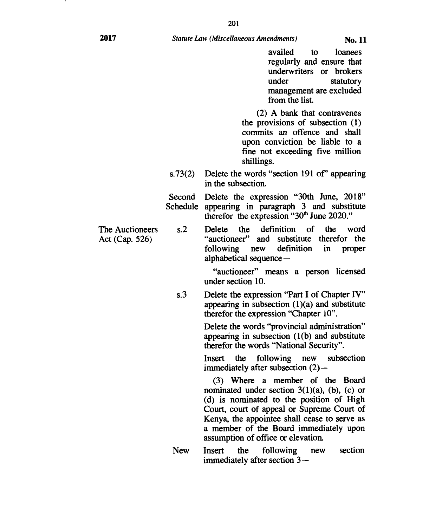201

availed to loanees regularly and ensure that underwriters or brokers under statutory management are excluded from the list.

(2) A bank that contravenes the provisions of subsection (1) commits an offence and shall upon conviction be liable to a fine not exceeding five million shillings.

s.73 $(2)$  Delete the words "section 191 of" appearing in the subsection.

Second Delete the expression "30th June, 2018" Schedule appearing in paragraph 3 and substitute therefor the expression " $30<sup>th</sup>$  June 2020."

The Auctioneers s.2 Delete the definition of the word Act (Cap. 526) "auctioneer" and substitute therefor the following new definition in proper alphabetical sequence —

> "auctioneer" means a person licensed under section 10.

s.3 Delete the expression "Part I of Chapter IV" appearing in subsection  $(1)(a)$  and substitute therefor the expression "Chapter 10".

> Delete the words "provincial administration" appearing in subsection (1(b) and substitute therefor the words "National Security".

> Insert the following new subsection immediately after subsection (2)—

> (3) Where a member of the Board nominated under section  $3(1)(a)$ , (b), (c) or (d) is nominated to the position of High Court, court of appeal or Supreme Court of Kenya, the appointee shall cease to serve as a member of the Board immediately upon assumption of office or elevation.

New Insert the following new section immediately after section 3—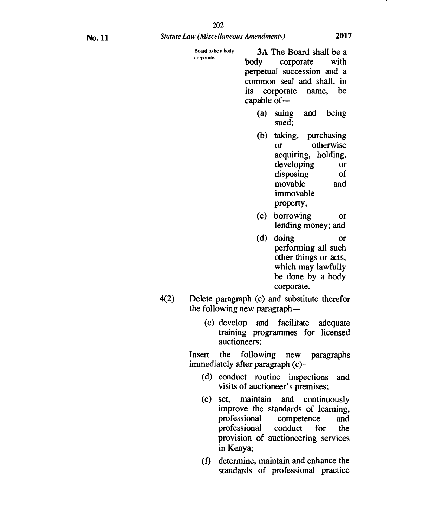Board to *be* a body corporate.

**3A** The Board shall be a body corporate with perpetual succession and a common seal and shall, in its corporate name, be capable of—

- (a) suing and being sued;
- (b) taking, purchasing or otherwise acquiring, holding, developing **or**  disposing of movable and immovable property;
- (c) borrowing or lending money; and
- (d) doing or performing all such other things or acts, which may lawfully be done by a body corporate.
- 4(2) Delete paragraph (c) and substitute therefor the following new paragraph—
	- (c) develop and facilitate adequate training programmes for licensed auctioneers;

Insert the following new paragraphs immediately after paragraph (c)—

- (d) conduct routine inspections and visits of auctioneer's premises;
- (e) set, maintain and continuously improve the standards of learning,<br>professional competence and competence and professional conduct for the provision of auctioneering services in Kenya;
- (t) determine, maintain and enhance the standards of professional practice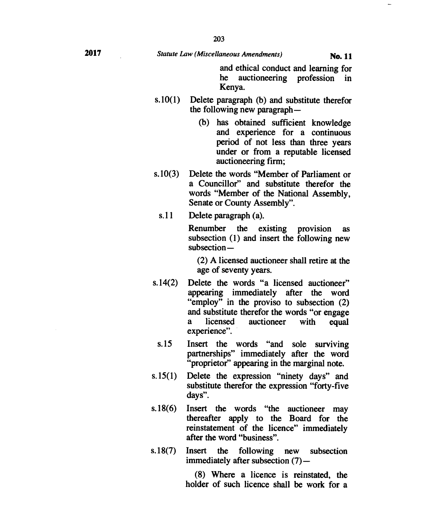# **2017** *Statute Law (Miscellaneous Amendments)* **No. 11**

**and ethical conduct and learning for he auctioneering profession in Kenya.** 

- **s.10(1) Delete paragraph (b) and substitute therefor the following new paragraph —** 
	- **(b) has obtained sufficient knowledge and experience for a continuous period of not less than three years under or from a reputable licensed auctioneering firm;**
- **s.10(3) Delete the words "Member of Parliament or a Councillor" and substitute therefor the words "Member of the National Assembly, Senate or County Assembly".** 
	- **s.11 Delete paragraph (a).**

**Renumber the existing provision as subsection (1) and insert the following new subsection —** 

**(2) A licensed auctioneer shall retire at the age of seventy years.** 

- **s.14(2) Delete the words "a licensed auctioneer" appearing immediately after the word "employ" in the proviso to subsection (2) and substitute therefor the words "or engage a licensed auctioneer with equal experience".** 
	- **s.15 Insert the words "and sole surviving partnerships" immediately after the word "proprietor" appearing in the marginal note.**
- **s.15(1) Delete the expression "ninety days" and substitute therefor the expression "forty-five days".**
- **s.18(6) Insert the words "the auctioneer may thereafter apply to the Board for the reinstatement of the licence" immediately after the word "business".**
- **s.18(7) Insert the following new subsection immediately after subsection (7)-**

**(8) Where a licence is reinstated, the holder of such licence shall be work for a**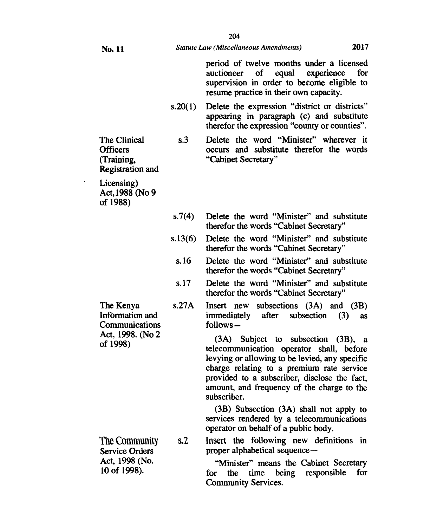| No. 11                                                                         |                | 2017<br>Statute Law (Miscellaneous Amendments)                                                                                                                                                                                                                                             |
|--------------------------------------------------------------------------------|----------------|--------------------------------------------------------------------------------------------------------------------------------------------------------------------------------------------------------------------------------------------------------------------------------------------|
|                                                                                |                | period of twelve months under a licensed<br>of equal<br>experience<br>for<br>auctioneer<br>supervision in order to become eligible to<br>resume practice in their own capacity.                                                                                                            |
|                                                                                | s.20(1)        | Delete the expression "district or districts"<br>appearing in paragraph (c) and substitute<br>therefor the expression "county or counties".                                                                                                                                                |
| The Clinical<br><b>Officers</b><br>(Training,<br><b>Registration</b> and       | s.3            | Delete the word "Minister" wherever it<br>occurs and substitute therefor the words<br>"Cabinet Secretary"                                                                                                                                                                                  |
| Licensing)<br>Act, 1988 (No 9<br>of 1988)                                      |                |                                                                                                                                                                                                                                                                                            |
|                                                                                | s.7(4)         | Delete the word "Minister" and substitute<br>therefor the words "Cabinet Secretary"                                                                                                                                                                                                        |
|                                                                                | s.13(6)        | Delete the word "Minister" and substitute<br>therefor the words "Cabinet Secretary"                                                                                                                                                                                                        |
|                                                                                | s.16           | Delete the word "Minister" and substitute<br>therefor the words "Cabinet Secretary"                                                                                                                                                                                                        |
|                                                                                | s.17           | Delete the word "Minister" and substitute<br>therefor the words "Cabinet Secretary"                                                                                                                                                                                                        |
| The Kenya<br>Information and<br>Communications<br>Act, 1998. (No 2<br>of 1998) | s.27A          | Insert new subsections (3A) and (3B)<br>immediately<br>after<br>subsection $(3)$<br><b>as</b><br>follows-                                                                                                                                                                                  |
|                                                                                |                | (3A) Subject to subsection (3B), a<br>telecommunication operator shall, before<br>levying or allowing to be levied, any specific<br>charge relating to a premium rate service<br>provided to a subscriber, disclose the fact,<br>amount, and frequency of the charge to the<br>subscriber. |
|                                                                                |                | $(3B)$ Subsection $(3A)$ shall not apply to<br>services rendered by a telecommunications<br>operator on behalf of a public body.                                                                                                                                                           |
| The Community<br><b>Service Orders</b><br>Act, 1998 (No.<br>10 of 1998).       | s <sub>2</sub> | Insert the following new definitions in<br>proper alphabetical sequence-                                                                                                                                                                                                                   |
|                                                                                |                | "Minister" means the Cabinet Secretary<br>the time being responsible<br>for<br>for<br><b>Community Services.</b>                                                                                                                                                                           |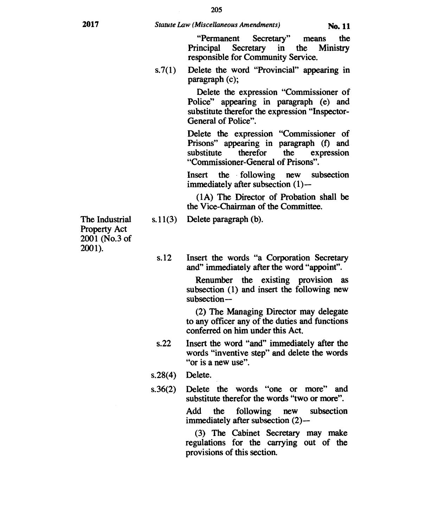**"Permanent Secretary" means the Principal Secretary in the Ministry responsible for Community Service.** 

**s.7(1) Delete the word "Provincial" appearing in paragraph (c);** 

> **Delete the expression "Commissioner of Police" appearing in paragraph (e) and substitute therefor the expression "Inspector-General of Police".**

> **Delete the expression "Commissioner of Prisons" appearing in paragraph (f) and substitute therefor the expression "Commissioner-General of Prisons".**

> **Insert the following new subsection immediately after subsection (1)—**

> **(1A) The Director of Probation shall be the Vice-Chairman of the Committee.**

**s.11(3) Delete paragraph (b).** 

**s.12 Insert the words "a Corporation Secretary and" immediately after the word "appoint".** 

> **Renumber the existing provision as subsection (1) and insert the following new subsection—**

> **(2) The Managing Director may delegate to any officer any of the duties and functions conferred on him under this Act.**

- **s.22 Insert the word "and" immediately after the words "inventive step" and delete the words "or is a new use".**
- **s.28(4) Delete.**
- **s.36(2) Delete the words "one or more" and substitute therefor the words "two or more".**

**Add the following new subsection immediately after subsection (2)—** 

**(3) The Cabinet Secretary may make regulations for the carrying out of the provisions of this section.** 

**The Industrial Property Act 2001 (No.3 of 2001).**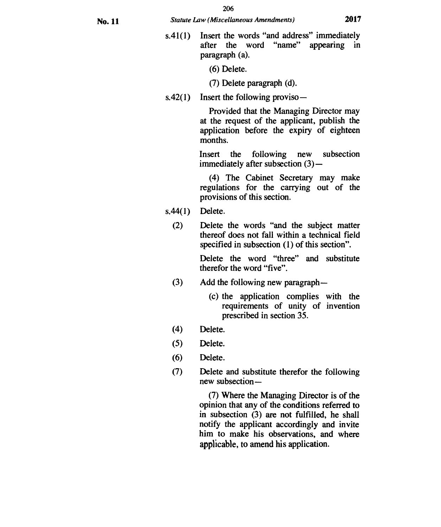**s.41(1) Insert the words "and address" immediately after the word "name" appearing in paragraph (a).** 

**(6) Delete.** 

**(7) Delete paragraph (d).** 

**s.42(1) Insert the following proviso—** 

**Provided that the Managing Director may at the request of the applicant, publish the application before the expiry of eighteen months.** 

**Insert the following new subsection immediately after subsection (3)**—

**(4) The Cabinet Secretary may make regulations for the carrying out of the provisions of this section.** 

- **s.44(1) Delete.** 
	- **(2) Delete the words "and the subject matter thereof does not fall within a technical field specified in subsection (1) of this section".**

**Delete the word "three" and substitute therefor the word "five".** 

- **(3) Add the following new paragraph—** 
	- **(c) the application complies with the requirements of unity of invention prescribed in section 35.**
- **(4) Delete.**
- **(5) Delete.**
- **(6) Delete.**
- **(7) Delete and substitute therefor the following new subsection —**

**(7) Where the Managing Director is of the opinion that any of the conditions referred to in subsection (3) are not fulfilled, he shall notify the applicant accordingly and invite him to make his observations, and where applicable, to amend his application.**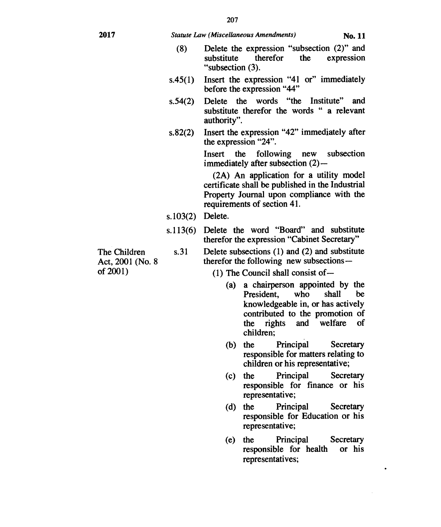#### **2017** *Statute Law (Miscellaneous Amendments)* **No. 11**

- (8) Delete the expression "subsection (2)" and substitute therefor the expression "subsection (3).
- s.45(1) Insert the expression "41 or" immediately before the expression "44"
- s.54(2) Delete the words "the Institute" and substitute therefor the words " a relevant authority".
- s.82(2) Insert the expression "42" immediately after the expression "24".

Insert the following new subsection immediately after subsection (2)—

(2A) An application for a utility model certificate shall be published in the Industrial Property Journal upon compliance with the requirements of section 41.

- s.103(2) Delete.
- s.113(6) Delete the word "Board" and substitute therefor the expression "Cabinet Secretary"

The Children Act, 2001 (No. 8 of 2001)

s.31 Delete subsections (1) and (2) and substitute therefor the following new subsections —

(1) The Council shall consist of—

- (a) a chairperson appointed by the President, who shall be knowledgeable in, or has actively contributed to the promotion of the rights and welfare of children;
- (b) the Principal Secretary responsible for matters relating to children or his representative;
- (c) the Principal Secretary responsible for finance or his representative;
- (d) the Principal Secretary responsible for Education or his representative;
- (e) the Principal Secretary responsible for health or his representatives;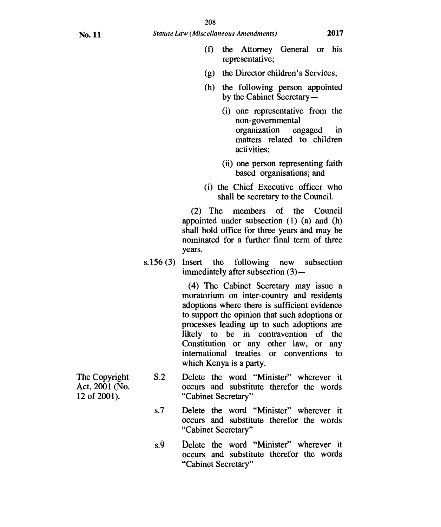- (f) the Attorney General or his representative;
- (g) the Director children's Services;
- (h) the following person appointed by the Cabinet Secretary —
	- (i) one representative from the non-governmental organization engaged in matters related to children activities;
	- (ii) one person representing faith based organisations; and
- (i) the Chief Executive officer who shall be secretary to the Council.

(2) The members of the Council appointed under subsection (1) (a) and (h) shall hold office for three years and may be nominated for a further final term of three years.

s.156 (3) Insert the following new subsection immediately after subsection  $(3)$ —

> (4) The Cabinet Secretary may issue a moratorium on inter-country and residents adoptions where there is sufficient evidence to support the opinion that such adoptions or processes leading up to such adoptions are likely to be in contravention of the Constitution or any other law, or any international treaties or conventions to which Kenya is a party.

- 
- The Copyright S.2 Delete the word "Minister" wherever it Act, 2001 (No. occurs and substitute therefor the words occurs and substitute therefor the words 12 of 2001). "Cabinet Secretary"
	- s.7 Delete the word "Minister" wherever it occurs and substitute therefor the words "Cabinet Secretary"
	- s.9 Delete the word "Minister" wherever it occurs and substitute therefor the words "Cabinet Secretary"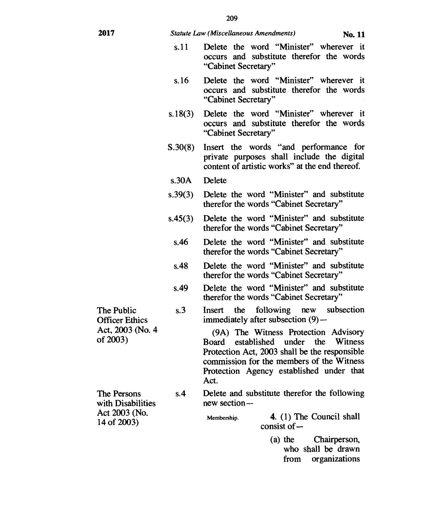### **2017** *Statute Law (Miscellaneous Amendments)* **No. 11**

- s.11 Delete the word "Minister" wherever it occurs and substitute therefor the words "Cabinet Secretary"
- s.16 Delete the word "Minister" wherever it occurs and substitute therefor the words "Cabinet Secretary"
- s.18(3) Delete the word "Minister" wherever it occurs and substitute therefor the words "Cabinet Secretary"
- S.30(8) Insert the words "and performance for private purposes shall include the digital content of artistic works" at the end thereof.
- s.30A Delete
- s.39(3) Delete the word "Minister" and substitute therefor the words "Cabinet Secretary"
- s.45(3) Delete the word "Minister" and substitute therefor the words "Cabinet Secretary"
	- s.46 Delete the word "Minister" and substitute therefor the words "Cabinet Secretary"
	- s.48 Delete the word "Minister" and substitute therefor the words "Cabinet Secretary"
	- s.49 Delete the word "Minister" and substitute therefor the words "Cabinet Secretary"

s.3 Insert the following new subsection

The Public

Officer Ethics Act, 2003 (No. 4 of 2003)

The Persons with Disabilities Act 2003 (No. 14 of 2003)

immediately after subsection (9)— (9A) The Witness Protection Advisory

Board established under the Protection Act, 2003 shall be the responsible commission for the members of the Witness Protection Agency established under that Act.

s.4 Delete and substitute therefor the following new section-

Membership. **4.** (1) The Council shall consist of —

> (a) the Chairperson, who shall be drawn from organizations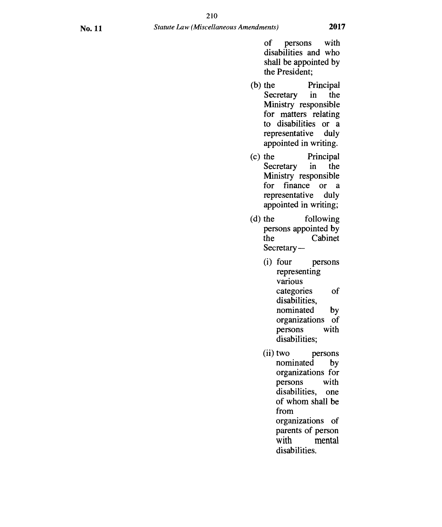of persons with disabilities and who shall be appointed by the President;

- (b) the Principal Secretary in the Ministry responsible for matters relating to disabilities or a representative duly appointed in writing.
- (c) the Principal Secretary in the Ministry responsible for finance or a representative duly appointed in writing;
- (d) the following persons appointed by the Cabinet Secretary —
	- (i) four persons representing various categories of disabilities, nominated by organizations of persons with disabilities;
	- (ii) two persons nominated by organizations for persons with disabilities, one of whom shall be from organizations of parents of person with mental disabilities.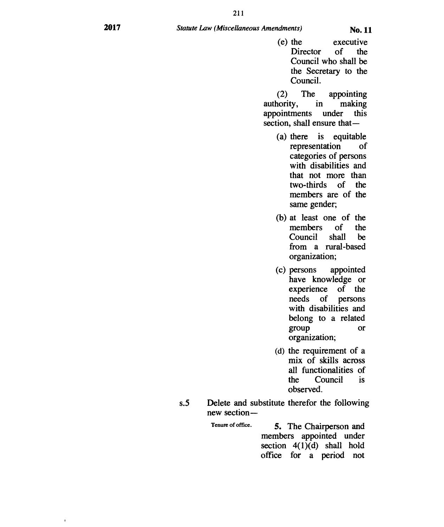$\mathbf{r}$ 

(e) the executive Director of the Council who shall be the Secretary to the Council.

(2) The appointing authority, in making appointments under this section, shall ensure that —

- (a) there is equitable representation of categories of persons with disabilities and that not more than two-thirds of the members are of the same gender;
- (b) at least one of the members of the Council shall be from a rural-based organization;
- (c) persons appointed have knowledge or experience of the needs of persons with disabilities and belong to a related group or organization;
- (d) the requirement of a mix of skills across all functionalities of the Council is observed.
- s.5 Delete and substitute therefor the following new section —

Tenure of office. **5.** The Chairperson and members appointed under section  $4(1)(d)$  shall hold office for a period not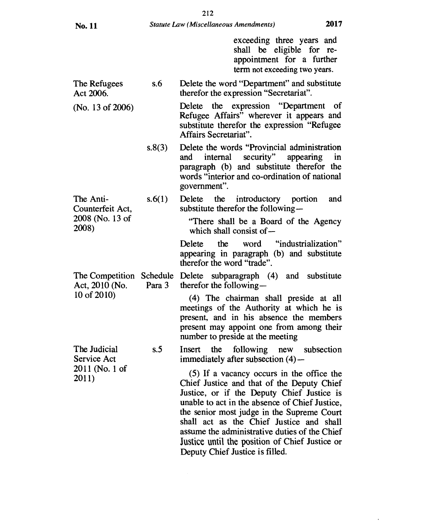2008)

2011 (No. 1 of

exceeding three years and shall be eligible for reappointment for a further term not exceeding two years.

- The Refugees s.6 Delete the word "Department" and substitute Act 2006. therefor the expression "Secretariat".
- Delete the expression "Department of Refugee Affairs" wherever it appears and substitute therefor the expression "Refugee Affairs Secretariat". (No. 13 of 2006)
	- s.8(3) Delete the words "Provincial administration and internal security" appearing in paragraph (b) and substitute therefor the words "interior and co-ordination of national government".
- s.6(1) Delete the introductory portion and substitute therefor the following — The Anti-Counterfeit Act, 2008 (No. 13 of
	- "There shall be a Board of the Agency which shall consist of—

Delete the word "industrialization" appearing in paragraph (b) and substitute therefor the word "trade".

The Competition Schedule Delete subparagraph (4) and substitute Act, 2010 (No. Para 3 therefor the following —

10 of 2010) (4) The chairman shall preside at all meetings of the Authority at which he is present, and in his absence the members present may appoint one from among their number to preside at the meeting

The Judicial s.5 Insert the following new subsection<br>Service Act immediately after subsection  $(4)$  immediately after subsection  $(4)$ —

 $2011$  (10. 1 or  $(5)$  If a vacancy occurs in the office the  $2011$ ) Chief Justice and that of the Deputy Chief Justice, or if the Deputy Chief Justice is unable to act in the absence of Chief Justice, the senior most judge in the Supreme Court shall act as the Chief Justice and shall assume the administrative duties of the Chief Justice until the position of Chief Justice or Deputy Chief Justice is filled.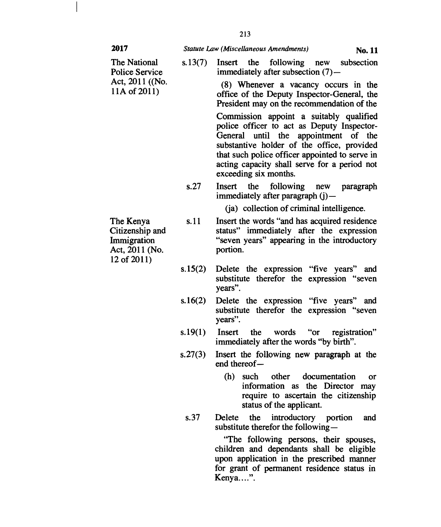#### **2017** *Statute Law (Miscellaneous Amendments)* **No. 11**

**The National s.13(7) Insert the following new subsection**  Police Service **immediately after subsection (7)** — Act, 2011 ((No. (8) Whenever a vacancy occurs in the 11A of 2011) (8) Whenever a vacancy occurs in the office of the Deputy Inspector-General, the **President may on the recommendation of the Commission appoint a suitably qualified police officer to act as Deputy Inspector-General until the appointment of the substantive holder of the office, provided that such police officer appointed to serve in acting capacity shall serve for a period not exceeding six months. s.27 Insert the following new paragraph immediately after paragraph (j)— (ja) collection of criminal intelligence. s.11 Insert the words "and has acquired residence status" immediately after the expression "seven years" appearing in the introductory portion. s.15(2) Delete the expression "five years" and substitute therefor the expression "seven years". s.16(2) Delete the expression "five years" and substitute therefor the expression "seven years". s.19(1) Insert the words "or registration" immediately after the words "by birth". s.27(3) Insert the following new paragraph at the end thereof — (h) such other documentation or information as the Director may require to ascertain the citizenship status of the applicant. s.37 Delete the introductory portion and substitute therefor the following — "The following persons, their spouses, The Kenya Citizenship and Immigration Act, 2011 (No. 12 of 2011)** 

**children and dependants shall be eligible upon application in the prescribed manner for grant of permanent residence status in Kenya....".**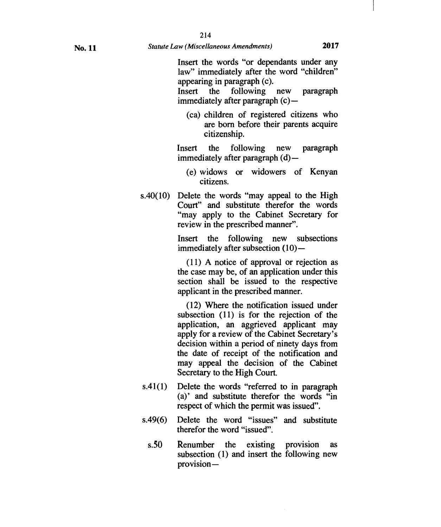Insert the words "or dependants under any law" immediately after the word "children" appearing in paragraph (c).

Insert the following new paragraph immediately after paragraph (c)—

(ca) children of registered citizens who are born before their parents acquire citizenship.

Insert the following new paragraph immediately after paragraph (d) —

- (e) widows or widowers of Kenyan citizens.
- s.40(10) Delete the words "may appeal to the High Court" and substitute therefor the words "may apply to the Cabinet Secretary for review in the prescribed manner".

Insert the following new subsections immediately after subsection (10)-

(11) A notice of approval or rejection as the case may be, of an application under this section shall be issued to the respective applicant in the prescribed manner.

(12) Where the notification issued under subsection (11) is for the rejection of the application, an aggrieved applicant may apply for a review of the Cabinet Secretary's decision within a period of ninety days from the date of receipt of the notification and may appeal the decision of the Cabinet Secretary to the High Court.

- s.41(1) Delete the words "referred to in paragraph (a)' and substitute therefor the words "in respect of which the permit was issued".
- s.49(6) Delete the word "issues" and substitute therefor the word "issued".
	- s.50 Renumber the existing provision as subsection (1) and insert the following *new*  provision-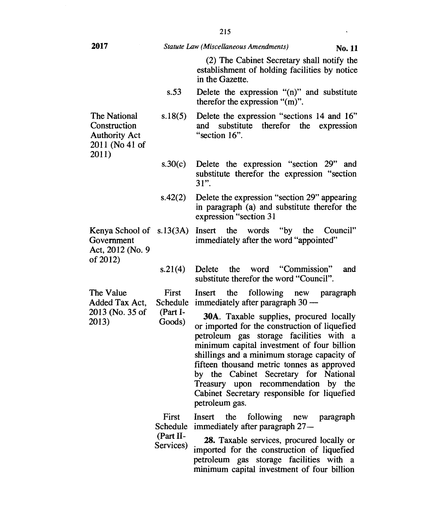**2017** *Statute Law (Miscellaneous Amendments)* No. **<sup>11</sup>** The National **Construction** Authority Act 2011 (No 41 of 2011) Kenya School of s.13(3A) Insert the words "by the Council" Government Act, 2012 (No. 9 of 2012) (2) The Cabinet Secretary shall notify the establishment of holding facilities by notice in the Gazette. s.53 Delete the expression "(n)" and substitute therefor the expression "(m)". s.18(5) Delete the expression "sections 14 and 16" and substitute therefor the expression "section 16". s.30(c) Delete the expression "section 29" and substitute therefor the expression "section 31". s.42(2) Delete the expression "section 29" appearing in paragraph (a) and substitute therefor the expression "section 31 immediately after the word "appointed" The Value Added Tax Act, 2013 (No. 35 of 2013)  $s.21(4)$ First Schedule immediately after paragraph 30 — (Part I-Goods) First Schedule immediately after paragraph 27 **—**  (Part II-Services) Delete the word "Commission" and substitute therefor the word "Council". Insert the following new paragraph 30A. Taxable supplies, procured locally or imported for the construction of liquefied petroleum gas storage facilities with a minimum capital investment of four billion shillings and a minimum storage capacity of fifteen thousand metric tonnes as approved by the Cabinet Secretary for National Treasury upon recommendation by the Cabinet Secretary responsible for liquefied petroleum gas. Insert the following new paragraph **28.** Taxable services, procured locally or imported for the construction of liquefied petroleum gas storage facilities with a

minimum capital investment of four billion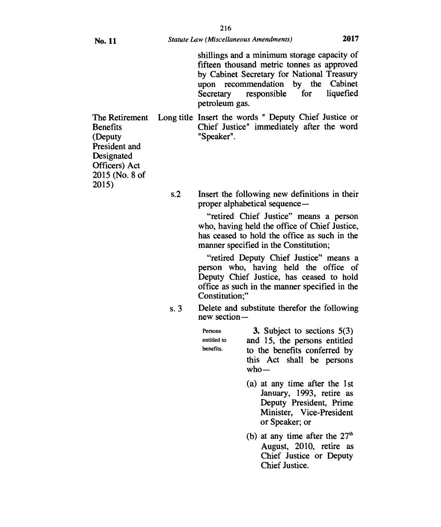Designated Officers) Act 2015 (No. 8 of

2015)

shillings and a minimum storage capacity of fifteen thousand metric tonnes as approved by Cabinet Secretary for National Treasury upon recommendation by the Cabinet Secretary responsible for liquefied petroleum gas.

The Retirement Long title Insert the words " Deputy Chief Justice or Benefits Chief Justice" immediately after the word (Deputy "Speaker". President and

> s.2 Insert the following new definitions in their proper alphabetical sequence —

> > "retired Chief Justice" means a person who, having held the office of Chief Justice, has ceased to hold the office as such in the manner specified in the Constitution;

> > "retired Deputy Chief Justice" means a person who, having held the office of Deputy Chief Justice, has ceased to hold office as such in the manner specified in the Constitution;"

s. 3 Delete and substitute therefor the following new section—

| Persons     | 3. Subject to sections $5(3)$                                       |  |
|-------------|---------------------------------------------------------------------|--|
| entitled to | and 15, the persons entitled                                        |  |
| benefits.   | to the benefits conferred by<br>this Act shall be persons<br>$who-$ |  |
|             |                                                                     |  |

- (a) at any time after the 1st January, 1993, retire as Deputy President, Prime Minister, Vice-President or Speaker; or
- (b) at any time after the  $27<sup>th</sup>$  August, 2010, retire as Chief Justice or Deputy Chief Justice.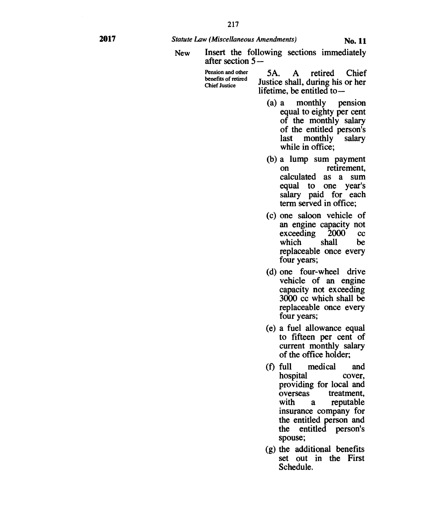- **Insert the following sections immediately after section 5 — New** 
	-
	- **Pension and other 5A. A retired Chief benefits of retired** Justice shall, during his or her lifetime, be entitled to —
		- **(a) a monthly pension equal to eighty per cent of the monthly salary of the entitled person's last monthly salary while in office;**
		- **(b) a lump sum payment on retirement, calculated as a sum equal to one year's salary paid for each term served in office;**
		- **(c) one saloon vehicle of an engine capacity not exceeding 2000 cc**  which **replaceable once every four years;**
		- **(d) one four-wheel drive vehicle of an engine capacity not exceeding 3000 cc which shall be replaceable once every four years;**
		- **(e) a fuel allowance equal to fifteen per cent of current monthly salary of the office holder;**
		- **(f) full medical and hospital cover, providing for local and overseas treatment, with a reputable insurance company for the entitled person and the entitled person's spouse;**
		- **(g) the additional benefits set out in the First Schedule.**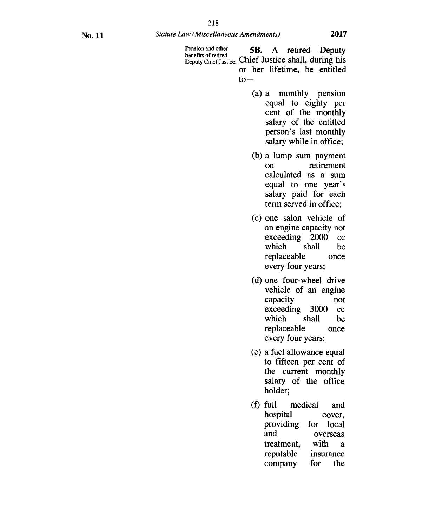Pension and other **5B.** A retired Deputy benefits of retired  $\bullet$  ... Deputy Chief Justice. Chief Justice shall, during his or her lifetime, be entitled  $to-$ 

- (a) a monthly pension equal to eighty per cent of the monthly salary of the entitled person's last monthly salary while in office;
- (b) a lump sum payment on retirement calculated as a sum equal to one year's salary paid for each term served in office;
- (c) one salon vehicle of an engine capacity not exceeding 2000 cc<br>which shall be which replaceable once every four years;
- (d) one four-wheel drive vehicle of an engine capacity not exceeding 3000 cc<br>which shall be which replaceable once every four years;
- (e) a fuel allowance equal to fifteen per cent of the current monthly salary of the office holder;
- (f) full medical and hospital cover, providing for local overseas<br>with a treatment, with a<br>reputable insurance reputable company for the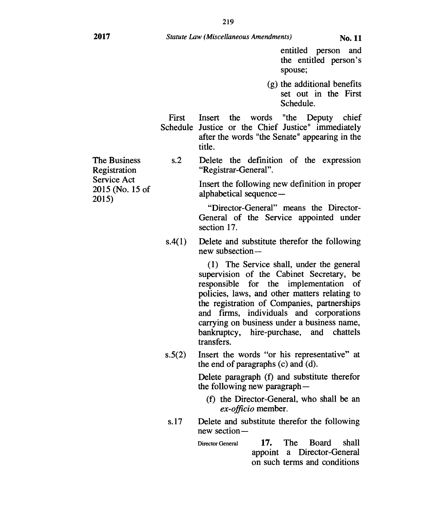entitled person and the entitled person's spouse;

(g) the additional benefits set out in the First Schedule.

First Insert the words "the Deputy chief Schedule Justice or the Chief Justice" immediately after the words "the Senate" appearing in the title.

The Business s.2 Delete the definition of the expression Registration "Registrar-General".

Service Act Insert the following new definition in proper 2015 (No. 15 of alphabetical sequence — 2015)

"Director-General" means the Director-General of the Service appointed under section 17.

s.4(1) Delete and substitute therefor the following new subsection —

> (1) The Service shall, under the general supervision of the Cabinet Secretary, be responsible for the implementation of policies, laws, and other matters relating to the registration of Companies, partnerships and firms, individuals and corporations carrying on business under a business name, bankruptcy, hire-purchase, and chattels transfers.

s.5(2) Insert the words "or his representative" at the end of paragraphs (c) and (d).

> Delete paragraph (f) and substitute therefor the following new paragraph —

- (f) the Director-General, who shall be an *ex-officio* member.
- s.17 Delete and substitute therefor the following new section—
	- Director General 17. The Board shall appoint a Director-General on such terms and conditions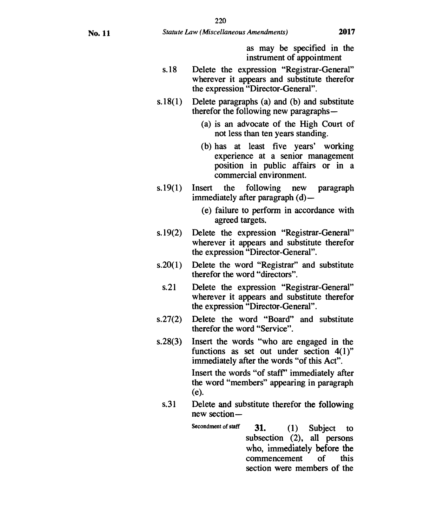**as** may be specified in the instrument of appointment

- s.18 Delete the expression "Registrar-General" wherever it appears and substitute therefor the expression "Director-General".
- s.18(1) Delete paragraphs (a) and (b) and substitute therefor the following new paragraphs —
	- (a) is an advocate of the High Court of not less than ten years standing.
	- (b) has at least five years' working experience at a senior management position in public affairs or in a commercial environment.
- s.19(1) Insert the following new paragraph immediately after paragraph (d)—
	- (e) failure to perform in accordance with agreed targets.
- s.19(2) Delete the expression "Registrar-General" wherever it appears and substitute therefor the expression "Director-General".
- s.20(1) Delete the word "Registrar" and substitute therefor the word "directors".
	- s.21 Delete the expression "Registrar-General" wherever it appears and substitute therefor the expression "Director-General".
- s.27(2) Delete the word "Board" and substitute therefor the word "Service".
- s.28(3) Insert the words "who are engaged in the functions as set out under section 4(1)" immediately after the words "of this Act". Insert the words "of staff' immediately after the word "members" appearing in paragraph

new section—

(e). s.31 Delete and substitute therefor the following

> Secondment of staff **31.** (1) Subject to subsection (2), all persons who, immediately before the commencement of this section were members of the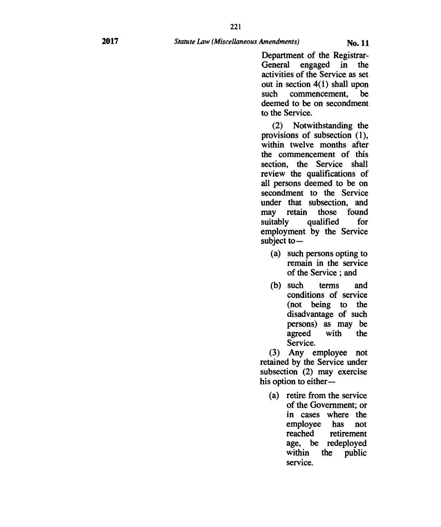**Department of the Registrar-General engaged in the activities of the Service as set out in section 4(1) shall upon such commencement, be deemed to be on secondment to the Service.** 

**(2) Notwithstanding the provisions of subsection (1), within twelve months after the commencement of this section, the Service shall review the qualifications of all persons deemed to be on secondment to the Service under that subsection, and may retain those found suitably qualified for employment by the Service subject to —** 

- **(a) such persons opting to remain in the service of the Service ; and**
- **(b) such terms and conditions of service (not being to the disadvantage of such persons) as may be agreed with the Service.**

**(3) Any employee not retained by the Service under subsection (2) may exercise his option to either —** 

**(a) retire from the service of the Government; or in cases where the employee has not**  retirement **age, be redeployed within the public service.**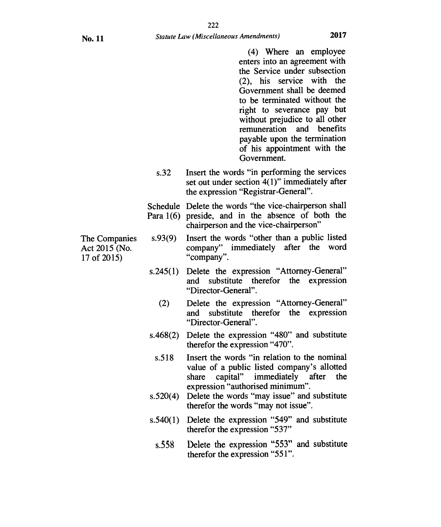(4) Where an employee enters into an agreement with the Service under subsection (2), his service with the Government shall be deemed to be terminated without the right to severance pay but without prejudice to all other remuneration and benefits payable upon the termination of his appointment with the Government.

s.32 Insert the words "in performing the services set out under section 4(1)" immediately after the expression "Registrar-General".

Schedule Delete the words "the vice-chairperson shall Para 1(6) preside, and in the absence of both the chairperson and the vice-chairperson"

- The Companies s.93(9) Insert the words "other than a public listed Act 2015 (No. company" immediately after the word 17 of 2015) "company".
	- s.245(1) Delete the expression "Attorney-General" and substitute therefor the expression "Director-General".
		- (2) Delete the expression "Attorney-General" and substitute therefor the expression "Director-General".
	- s.468(2) Delete the expression "480" and substitute therefor the expression "470".
		- s.518 Insert the words "in relation to the nominal value of a public listed company's allotted share capital" immediately after the expression "authorised minimum".
	- s.520(4) Delete the words "may issue" and substitute therefor the words "may not issue".
	- s.540(1) Delete the expression "549" and substitute therefor the expression "537"
		- s.55g Delete the expression "553" and substitute therefor the expression "551".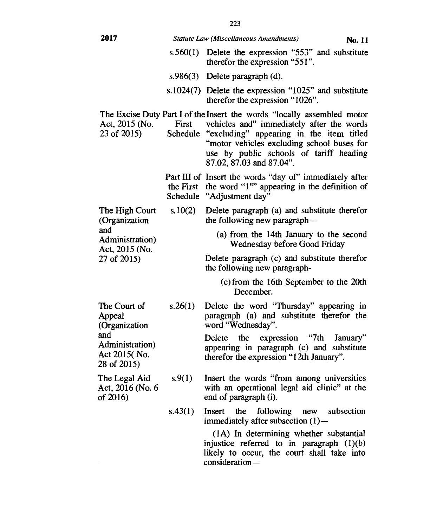| 2017                                                                                             |                   | Statute Law (Miscellaneous Amendments)<br>No. 11                                                                                                                                                                                                                                      |
|--------------------------------------------------------------------------------------------------|-------------------|---------------------------------------------------------------------------------------------------------------------------------------------------------------------------------------------------------------------------------------------------------------------------------------|
|                                                                                                  | s.560(1)          | Delete the expression "553" and substitute<br>therefor the expression "551".                                                                                                                                                                                                          |
|                                                                                                  |                   | s.986 $(3)$ Delete paragraph $(d)$ .                                                                                                                                                                                                                                                  |
|                                                                                                  |                   | s.1024(7) Delete the expression "1025" and substitute<br>therefor the expression "1026".                                                                                                                                                                                              |
| Act, 2015 (No.<br>23 of 2015)                                                                    | First<br>Schedule | The Excise Duty Part I of the Insert the words "locally assembled motor<br>vehicles and" immediately after the words<br>"excluding" appearing in the item titled<br>"motor vehicles excluding school buses for<br>use by public schools of tariff heading<br>87.02, 87.03 and 87.04". |
|                                                                                                  |                   | Part III of Insert the words "day of" immediately after<br>the First the word "1 <sup>st</sup> " appearing in the definition of<br>Schedule "Adjustment day"                                                                                                                          |
| The High Court<br>(Organization<br>and<br>Administration)<br>Act, 2015 (No.<br>27 of 2015)       | s.10(2)           | Delete paragraph (a) and substitute therefor<br>the following new paragraph—                                                                                                                                                                                                          |
|                                                                                                  |                   | (a) from the 14th January to the second<br>Wednesday before Good Friday                                                                                                                                                                                                               |
|                                                                                                  |                   | Delete paragraph (c) and substitute therefor<br>the following new paragraph-                                                                                                                                                                                                          |
|                                                                                                  |                   | (c) from the 16th September to the 20th<br>December.                                                                                                                                                                                                                                  |
| The Court of<br>Appeal<br>(Organization<br>and<br>Administration)<br>Act 2015(No.<br>28 of 2015) | s.26(1)           | Delete the word "Thursday" appearing in<br>paragraph (a) and substitute therefor the<br>word "Wednesday".                                                                                                                                                                             |
|                                                                                                  |                   | "7th<br>the<br>expression<br>Delete<br>January"<br>appearing in paragraph (c) and substitute<br>therefor the expression "12th January".                                                                                                                                               |
| The Legal Aid<br>Act, 2016 (No. 6<br>of 2016)                                                    | s.9(1)            | Insert the words "from among universities<br>with an operational legal aid clinic" at the<br>end of paragraph (i).                                                                                                                                                                    |
|                                                                                                  |                   |                                                                                                                                                                                                                                                                                       |

s.43(1) Insert the following new subsection immediately after subsection (1)—

> (1A) In determining whether substantial injustice referred to in paragraph (1)(b) likely to occur, the court shall take into consideration —